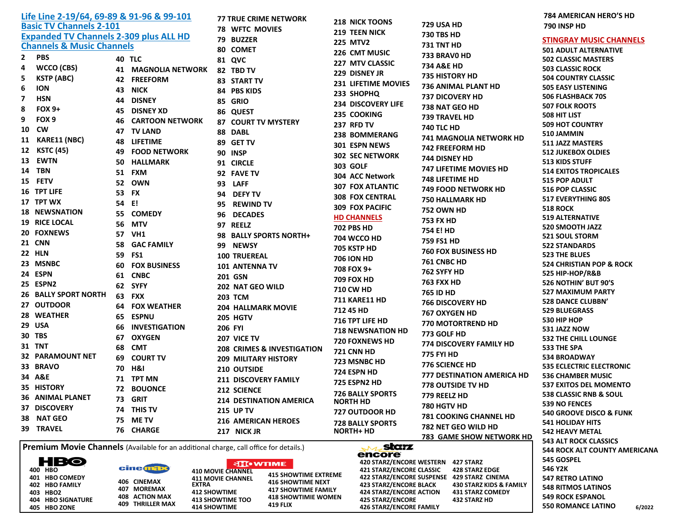| <b>NORTH HD</b><br><b>539 NO FENCES</b><br>780 HGTV HD<br><b>37 DISCOVERY</b><br>THIS TV<br>74<br><b>215 UP TV</b><br><b>727 OUTDOOR HD</b><br><b>540 GROOVE DISCO &amp; FUNK</b><br><b>781 COOKING CHANNEL HD</b><br>38                                                                  | Life Line 2-19/64, 69-89 & 91-96 & 99-101<br><b>Basic TV Channels 2-101</b><br><b>Expanded TV Channels 2-309 plus ALL HD</b><br><b>Channels &amp; Music Channels</b><br>$\mathbf{2}$<br><b>PBS</b><br>4<br>WCCO (CBS)<br>5<br><b>KSTP (ABC)</b><br>6<br><b>ION</b><br>$\overline{\mathbf{z}}$<br><b>HSN</b><br>8<br>$FOX$ 9+<br>9<br>FOX <sub>9</sub><br><b>CW</b><br>10<br>11 KARE11 (NBC)<br>12 KSTC (45)<br>EWTN<br>13<br>14 TBN<br>15 FETV<br><b>16 TPT LIFE</b><br>17 TPT WX<br><b>18 NEWSNATION</b><br><b>19 RICE LOCAL</b><br>20 FOXNEWS<br><b>21 CNN</b><br>22 HLN<br>23 MSNBC<br>24 ESPN<br>25 ESPN2<br><b>26 BALLY SPORT NORTH</b><br>27 OUTDOOR<br>28 WEATHER<br>29 USA<br>30 TBS<br><b>31 TNT</b><br><b>32 PARAMOUNT NET</b><br>33 BRAVO<br>34 A&E<br><b>35 HISTORY</b><br><b>36 ANIMAL PLANET</b> | 41<br>42<br>43<br>44<br>45<br>46<br>47<br>48<br>49<br>50<br>51<br>52<br>53<br>54<br>55<br>56<br>57<br>58<br>59<br>60<br>61<br>62<br>63<br>64<br>65<br>66<br>67<br>68<br>69<br>70<br>71<br>72<br>73 | 40 TLC<br><b>MAGNOLIA NETWORK</b><br><b>FREEFORM</b><br><b>NICK</b><br><b>DISNEY</b><br><b>DISNEY XD</b><br><b>CARTOON NETWORK</b><br><b>TV LAND</b><br><b>LIFETIME</b><br><b>FOOD NETWORK</b><br><b>HALLMARK</b><br><b>FXM</b><br><b>OWN</b><br><b>FX</b><br>E!<br><b>COMEDY</b><br><b>MTV</b><br>VH1<br><b>GAC FAMILY</b><br>FS1<br><b>FOX BUSINESS</b><br><b>CNBC</b><br><b>SYFY</b><br><b>FXX</b><br><b>FOX WEATHER</b><br><b>ESPNU</b><br><b>INVESTIGATION</b><br><b>OXYGEN</b><br><b>CMT</b><br><b>COURT TV</b><br>H&I<br><b>TPT MN</b><br><b>BOUONCE</b><br><b>GRIT</b> | 77 TRUE CRIME NETWORK<br><b>78 WFTC MOVIES</b><br><b>BUZZER</b><br>79<br><b>COMET</b><br>80<br><b>81 QVC</b><br>82 TBD TV<br>83 START TV<br>84 PBS KIDS<br>85<br>GRIO<br>86<br><b>QUEST</b><br><b>COURT TV MYSTERY</b><br>87<br>88<br><b>DABL</b><br>89 GET TV<br>90 INSP<br>91 CIRCLE<br>92 FAVE TV<br>93<br><b>LAFF</b><br><b>DEFY TV</b><br>94<br><b>REWIND TV</b><br>95<br><b>DECADES</b><br>96<br><b>REELZ</b><br>97<br><b>BALLY SPORTS NORTH+</b><br>98<br>99<br><b>NEWSY</b><br><b>100 TRUEREAL</b><br><b>101 ANTENNA TV</b><br>201 GSN<br>202 NAT GEO WILD<br><b>203 TCM</b><br><b>204 HALLMARK MOVIE</b><br><b>205 HGTV</b><br>206 FYI<br>207 VICE TV<br><b>208 CRIMES &amp; INVESTIGATION</b><br><b>209 MILITARY HISTORY</b><br><b>210 OUTSIDE</b><br><b>211 DISCOVERY FAMILY</b><br>212 SCIENCE<br><b>214 DESTINATION AMERICA</b> | <b>218 NICK TOONS</b><br><b>219 TEEN NICK</b><br><b>225 MTV2</b><br>226 CMT MUSIC<br>227 MTV CLASSIC<br>229 DISNEY JR<br><b>231 LIFETIME MOVIES</b><br>233 SHOPHQ<br><b>234 DISCOVERY LIFE</b><br>235 COOKING<br>237 RFD TV<br><b>238 BOMMERANG</b><br>301 ESPN NEWS<br><b>302 SEC NETWORK</b><br>303 GOLF<br>304 ACC Network<br><b>307 FOX ATLANTIC</b><br><b>308 FOX CENTRAL</b><br><b>309 FOX PACIFIC</b><br><b>HD CHANNELS</b><br><b>702 PBS HD</b><br>704 WCCO HD<br>705 KSTP HD<br><b>706 ION HD</b><br>708 FOX 9+<br><b>709 FOX HD</b><br><b>710 CW HD</b><br><b>711 KARE11 HD</b><br>712 45 HD<br>716 TPT LIFE HD<br><b>718 NEWSNATION HD</b><br><b>720 FOXNEWS HD</b><br><b>721 CNN HD</b><br>723 MSNBC HD<br>724 ESPN HD<br>725 ESPN2 HD<br><b>726 BALLY SPORTS</b> | <b>729 USA HD</b><br><b>730 TBS HD</b><br><b>731 TNT HD</b><br>733 BRAVO HD<br><b>734 A&amp;E HD</b><br><b>735 HISTORY HD</b><br><b>736 ANIMAL PLANT HD</b><br><b>737 DICOVERY HD</b><br>738 NAT GEO HD<br><b>739 TRAVEL HD</b><br><b>740 TLC HD</b><br><b>741 MAGNOLIA NETWORK HD</b><br><b>742 FREEFORM HD</b><br><b>744 DISNEY HD</b><br><b>747 LIFETIME MOVIES HD</b><br><b>748 LIFETIME HD</b><br><b>749 FOOD NETWORK HD</b><br><b>750 HALLMARK HD</b><br><b>752 OWN HD</b><br><b>753 FX HD</b><br>754 E! HD<br>759 FS1 HD<br><b>760 FOX BUSINESS HD</b><br>761 CNBC HD<br>762 SYFY HD<br><b>763 FXX HD</b><br><b>765 ID HD</b><br><b>766 DISCOVERY HD</b><br><b>767 OXYGEN HD</b><br><b>770 MOTORTREND HD</b><br>773 GOLF HD<br><b>774 DISCOVERY FAMILY HD</b><br><b>775 FYI HD</b><br><b>776 SCIENCE HD</b><br>777 DESTINATION AMERICA HD<br><b>778 OUTSIDE TV HD</b><br>779 REELZ HD | <b>784 AMERICAN HERO'S HD</b><br>790 INSP HD<br><b>STINGRAY MUSIC CHANNELS</b><br><b>501 ADULT ALTERNATIVE</b><br><b>502 CLASSIC MASTERS</b><br><b>503 CLASSIC ROCK</b><br><b>504 COUNTRY CLASSIC</b><br><b>505 EASY LISTENING</b><br><b>506 FLASHBACK 70S</b><br><b>507 FOLK ROOTS</b><br>508 HIT LIST<br><b>509 HOT COUNTRY</b><br>510 JAMMIN<br><b>511 JAZZ MASTERS</b><br><b>512 JUKEBOX OLDIES</b><br><b>513 KIDS STUFF</b><br><b>514 EXITOS TROPICALES</b><br><b>515 POP ADULT</b><br><b>516 POP CLASSIC</b><br>517 EVERYTHING 80S<br><b>518 ROCK</b><br><b>519 ALTERNATIVE</b><br><b>520 SMOOTH JAZZ</b><br><b>521 SOUL STORM</b><br><b>522 STANDARDS</b><br><b>523 THE BLUES</b><br><b>524 CHRISTIAN POP &amp; ROCK</b><br>525 HIP-HOP/R&B<br>526 NOTHIN' BUT 90'S<br><b>527 MAXIMUM PARTY</b><br><b>528 DANCE CLUBBN'</b><br><b>529 BLUEGRASS</b><br>530 HIP HOP<br>531 JAZZ NOW<br><b>532 THE CHILL LOUNGE</b><br>533 THE SPA<br><b>534 BROADWAY</b><br><b>535 ECLECTRIC ELECTRONIC</b><br><b>536 CHAMBER MUSIC</b><br><b>537 EXITOS DEL MOMENTO</b><br><b>538 CLASSIC RNB &amp; SOUL</b> |  |
|-------------------------------------------------------------------------------------------------------------------------------------------------------------------------------------------------------------------------------------------------------------------------------------------|----------------------------------------------------------------------------------------------------------------------------------------------------------------------------------------------------------------------------------------------------------------------------------------------------------------------------------------------------------------------------------------------------------------------------------------------------------------------------------------------------------------------------------------------------------------------------------------------------------------------------------------------------------------------------------------------------------------------------------------------------------------------------------------------------------------|----------------------------------------------------------------------------------------------------------------------------------------------------------------------------------------------------|--------------------------------------------------------------------------------------------------------------------------------------------------------------------------------------------------------------------------------------------------------------------------------------------------------------------------------------------------------------------------------------------------------------------------------------------------------------------------------------------------------------------------------------------------------------------------------|----------------------------------------------------------------------------------------------------------------------------------------------------------------------------------------------------------------------------------------------------------------------------------------------------------------------------------------------------------------------------------------------------------------------------------------------------------------------------------------------------------------------------------------------------------------------------------------------------------------------------------------------------------------------------------------------------------------------------------------------------------------------------------------------------------------------------------------------|-------------------------------------------------------------------------------------------------------------------------------------------------------------------------------------------------------------------------------------------------------------------------------------------------------------------------------------------------------------------------------------------------------------------------------------------------------------------------------------------------------------------------------------------------------------------------------------------------------------------------------------------------------------------------------------------------------------------------------------------------------------------------------|----------------------------------------------------------------------------------------------------------------------------------------------------------------------------------------------------------------------------------------------------------------------------------------------------------------------------------------------------------------------------------------------------------------------------------------------------------------------------------------------------------------------------------------------------------------------------------------------------------------------------------------------------------------------------------------------------------------------------------------------------------------------------------------------------------------------------------------------------------------------------------------------|-----------------------------------------------------------------------------------------------------------------------------------------------------------------------------------------------------------------------------------------------------------------------------------------------------------------------------------------------------------------------------------------------------------------------------------------------------------------------------------------------------------------------------------------------------------------------------------------------------------------------------------------------------------------------------------------------------------------------------------------------------------------------------------------------------------------------------------------------------------------------------------------------------------------------------------------------------------------------------------------------------------------------------------------------------------------------------------------------------|--|
| <b>NAT GEO</b><br><b>METV</b><br>75<br><b>216 AMERICAN HEROES</b><br><b>541 HOLIDAY HITS</b><br><b>728 BALLY SPORTS</b><br><b>782 NET GEO WILD HD</b><br>39 TRAVEL<br><b>CHARGE</b><br>76<br>217 NICK JR<br><b>NORTH+ HD</b><br><b>542 HEAVY METAL</b><br><b>783 GAME SHOW NETWORK HD</b> |                                                                                                                                                                                                                                                                                                                                                                                                                                                                                                                                                                                                                                                                                                                                                                                                                |                                                                                                                                                                                                    |                                                                                                                                                                                                                                                                                                                                                                                                                                                                                                                                                                                |                                                                                                                                                                                                                                                                                                                                                                                                                                                                                                                                                                                                                                                                                                                                                                                                                                              |                                                                                                                                                                                                                                                                                                                                                                                                                                                                                                                                                                                                                                                                                                                                                                               |                                                                                                                                                                                                                                                                                                                                                                                                                                                                                                                                                                                                                                                                                                                                                                                                                                                                                              |                                                                                                                                                                                                                                                                                                                                                                                                                                                                                                                                                                                                                                                                                                                                                                                                                                                                                                                                                                                                                                                                                                     |  |

**Premium Movie Channels** (Available for an additional charge, call office for details.)

| ▜▔█▙    |
|---------|
| 400 HBO |

**401 HBO COMEDY 402 HBO FAMILY 403 HBO2 404 HBO SIGNATURE 405 HBO ZONE**

**406 CIN** 407 MO 408 ACT **409 THRILLER MAX**

| cine max |                         |  |  |  |  |
|----------|-------------------------|--|--|--|--|
|          | 406 CINEMAX             |  |  |  |  |
|          | 407 MOREMAX             |  |  |  |  |
|          | <b>408 ACTION MAX</b>   |  |  |  |  |
|          | <b>409 THRILLER MAX</b> |  |  |  |  |
|          |                         |  |  |  |  |

**410 MOVIE CHANNEL 411 MOVIE CHANNEL EXTRA 412 SHOWTIME 413 SHOWTIME TOO**

**414 SHOWTIME** 

**SHOWTIME 415 SHOWTIME EXTREME 416 SHOWTIME NEXT 417 SHOWTIME FAMILY 418 SHOWTIMIE WOMEN 419 FLIX**

#### starz encore

**420 STARZ/ENCORE WESTERN 427 STARZ 421 STARZ/ENCORE CLASSIC 422 STARZ/ENCORE SUSPENSE 429 STARZ CINEMA 423 STARZ/ENCORE BLACK 424 STARZ/ENCORE ACTION 425 STARZ/ENCORE 426 STARZ/ENCORE FAMILY**

**428 STARZ EDGE 430 STARZ KIDS & FAMILY 431 STARZ COMEDY 432 STARZ HD**

**543 ALT ROCK CLASSICS 544 ROCK ALT COUNTY AMERICANA 545 GOSPEL 546 Y2K 547 RETRO LATINO 548 RITMOS LATINOS 549 ROCK ESPANOL**

**550 ROMANCE LATINO**

**6/2022**